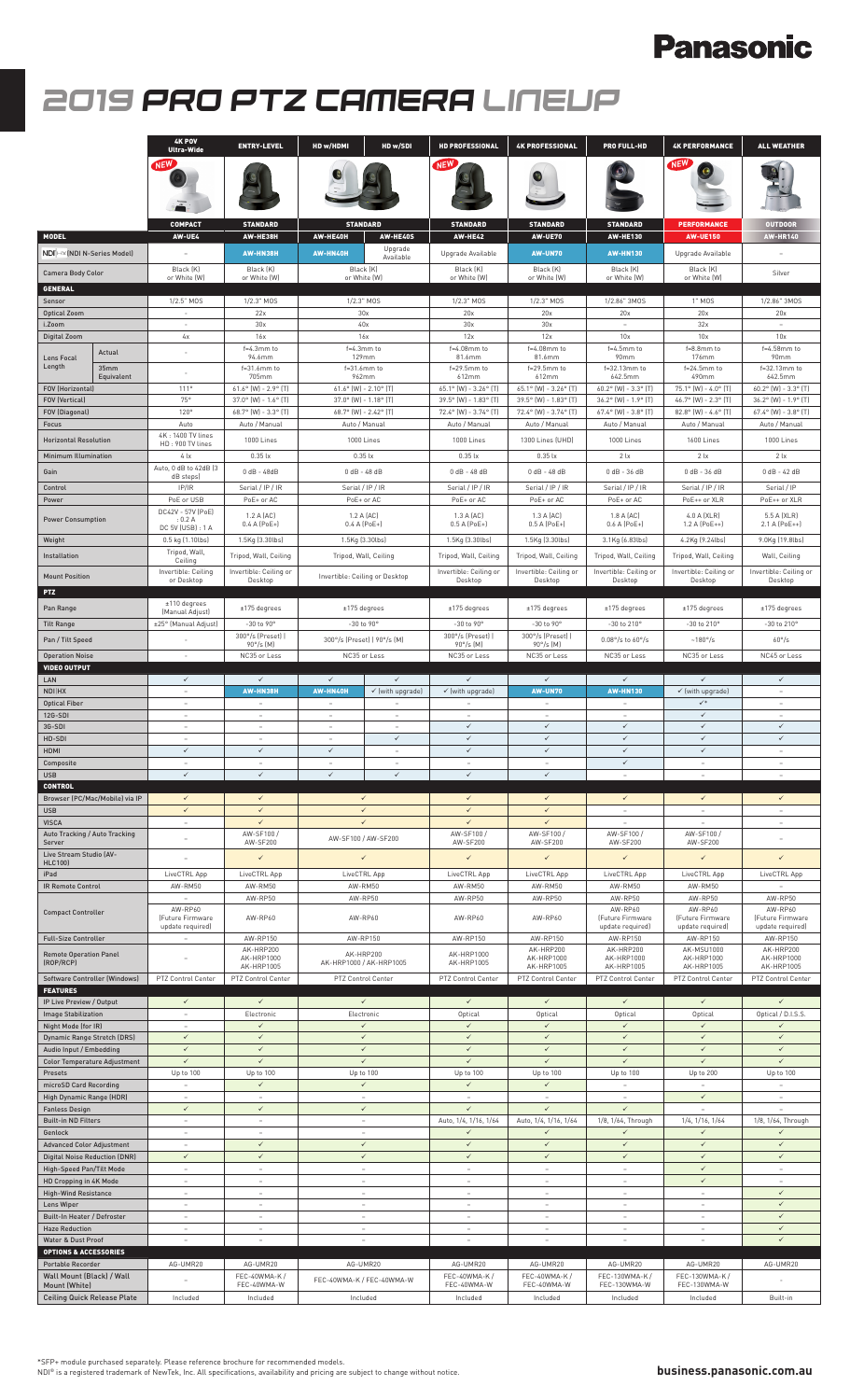# **Panasonic**

# *2019 PRO PTZ CAMERA LINEUP*

|                                                       |                                      | <b>4K POV</b><br><b>Ultra-Wide</b>    | <b>ENTRY-LEVEL</b>                                    | HD w/HDMI                                      | HD w/SDI                     | <b>HD PROFESSIONAL</b>                         | <b>4K PROFESSIONAL</b>                         | <b>PRO FULL-HD</b>                                    | <b>4K PERFORMANCE</b>                                 | <b>ALL WEATHER</b>                             |
|-------------------------------------------------------|--------------------------------------|---------------------------------------|-------------------------------------------------------|------------------------------------------------|------------------------------|------------------------------------------------|------------------------------------------------|-------------------------------------------------------|-------------------------------------------------------|------------------------------------------------|
|                                                       |                                      | <b>NEW</b>                            |                                                       |                                                |                              | <b>NEW</b>                                     |                                                |                                                       | <b>NEW</b>                                            |                                                |
|                                                       |                                      | <b>COMPACT</b>                        | <b>STANDARD</b>                                       |                                                | <b>STANDARD</b>              | <b>STANDARD</b>                                | <b>STANDARD</b>                                | <b>STANDARD</b>                                       | <b>PERFORMANCE</b>                                    | <b>OUTDOOR</b>                                 |
| <b>MODEL</b><br>NDI HX (NDI N-Series Model)           |                                      | AW-UE4                                | AW-HE38H<br>AW-HN38H                                  | AW-HE40H<br>AW-HN40H                           | AW-HE40S<br>Upgrade          | <b>AW-HE42</b><br>Upgrade Available            | <b>AW-UE70</b><br><b>AW-UN70</b>               | <b>AW-HE130</b><br><b>AW-HN130</b>                    | <b>AW-UE150</b><br>Upgrade Available                  | <b>AW-HR140</b>                                |
| Camera Body Color                                     |                                      | Black (K)                             | Black (K)                                             | Black (K)                                      | Available                    | Black (K)                                      | Black (K)                                      | Black (K)                                             | Black (K)                                             | Silver                                         |
| <b>GENERAL</b>                                        |                                      | or White (W)                          | or White (W)                                          | or White (W)                                   |                              | or White (W)                                   | or White (W)                                   | or White (W)                                          | or White (W)                                          |                                                |
| Sensor<br><b>Optical Zoom</b>                         |                                      | 1/2.5" MOS<br>$\sim$                  | 1/2.3" MOS<br>22x                                     | 1/2.3" MOS<br>30x                              |                              | 1/2.3" MOS<br>20x                              | 1/2.3" MOS<br>20x                              | 1/2.86" 3MOS<br>20x                                   | 1" MOS<br>20x                                         | 1/2.86" 3MOS<br>20x                            |
| i.Zoom<br><b>Digital Zoom</b>                         |                                      | 4х                                    | 30x<br>16x                                            | 40x<br>16x                                     |                              | 30x<br>12x                                     | 30x<br>12x                                     | 10x                                                   | 32x<br>10x                                            | 10x                                            |
| Lens Focal                                            | Actual                               | $\overline{\phantom{a}}$              | $f=4.3$ mm to<br>94.6mm                               | f=4.3mm to<br>129mm                            |                              | $f=4.08$ mm to<br>81.6mm                       | $f=4.08$ mm to<br>81.6mm                       | f=4.5mm to<br>90mm                                    | f=8.8mm to<br>176mm                                   | f=4.58mm to<br>90mm                            |
| Length                                                | 35mm<br>Equivalent                   |                                       | $f=31.6$ mm to<br>705mm                               | $f=31.6$ mm to<br>962mm                        |                              | $f=29.5$ mm to<br>612mm                        | $f=29.5$ mm to<br>612mm                        | f=32.13mm to<br>642.5mm                               | $f=24.5$ mm to<br>490mm                               | f=32.13mm to<br>642.5mm                        |
| <b>FOV (Horizontal)</b><br><b>FOV (Vertical)</b>      |                                      | 111°<br>75°                           | $61.6^{\circ}$ [W] - 2.9° [T]                         | $61.6^{\circ}$ (W) - 2.10° (T)                 |                              | 65.1° (W) - 3.26° (T)                          | 65.1° (W) - 3.26° (T)<br>39.5° (W) - 1.83° (T) | $60.2^{\circ}$ (W) - 3.3° (T)                         | 75.1° (W) - 4.0° (T)                                  | $60.2^{\circ}$ (W) - 3.3° (T)                  |
| FOV (Diagonal)                                        |                                      | 120°                                  | $37.0^{\circ}$ (W) - 1.6° (T)<br>68.7° (W) - 3.3° (T) | 37.0° (W) - 1.18° (T)<br>68.7° (W) - 2.42° (T) |                              | 39.5° (W) - 1.83° (T)<br>72.4° (W) - 3.74° (T) | 72.4° (W) - 3.74° (T)                          | 36.2° (W) - 1.9° (T)<br>$67.4^{\circ}$ (W) - 3.8° (T) | 46.7° (W) - 2.3° (T)<br>$82.8^{\circ}$ (W) - 4.6° (T) | 36.2° (W) - 1.9° (T)<br>67.4° (W) - 3.8° (T)   |
| Focus<br><b>Horizontal Resolution</b>                 |                                      | Auto<br>4K: 1400 TV lines             | Auto / Manual<br>1000 Lines                           | Auto / Manual<br>1000 Lines                    |                              | Auto / Manual<br>1000 Lines                    | Auto / Manual<br>1300 Lines (UHD)              | Auto / Manual<br>1000 Lines                           | Auto / Manual<br>1600 Lines                           | Auto / Manual<br>1000 Lines                    |
| <b>Minimum Illumination</b>                           |                                      | HD: 900 TV lines<br>4x                | $0.35$ $\mathsf{lx}$                                  | $0.35$ $\mathsf{lx}$                           |                              | $0.35$ $\text{lx}$                             | $0.35$ $\mathsf{lx}$                           | 2 <sub>k</sub>                                        | 2 <sub>k</sub>                                        | 2 <sub>x</sub>                                 |
| Gain                                                  |                                      | Auto, 0 dB to 42dB (3<br>dB steps)    | $0 dB - 48dB$                                         | $0$ dB - 48 dB                                 |                              | $0$ dB - 48 dB                                 | $0$ dB - 48 dB                                 | $0$ dB - 36 dB                                        | $0$ dB - 36 dB                                        | $0$ dB - 42 dB                                 |
| Control<br>Power                                      |                                      | IP/IR<br>PoE or USB                   | Serial / IP / IR<br>PoE+ or AC                        | Serial / IP / IR<br>PoE+ or AC                 |                              | Serial / IP / IR<br>PoE+ or AC                 | Serial / IP / IR<br>PoE+ or AC                 | Serial / IP / IR<br>PoE+ or AC                        | Serial / IP / IR<br>PoE++ or XLR                      | Serial / IP<br>PoE++ or XLR                    |
| <b>Power Consumption</b>                              |                                      | DC42V - 57V (PoE)<br>: 0.2 A          | 1.2 A (AC)                                            | 1.2 A (AC)                                     |                              | 1.3 A (AC)                                     | 1.3 A (AC)                                     | 1.8 A (AC)                                            | 4.0 A (XLR)                                           | 5.5 A (XLR)                                    |
| Weight                                                |                                      | DC 5V (USB) : 1 A<br>0.5 kg (1.10lbs) | $0.4 A (PoE+)$<br>1.5Kg (3.30lbs)                     | 1.5Kg (3.30lbs)                                | 0.4 A (PoE+)                 | 0.5 A (PoE+)<br>1.5Kg (3.30lbs)                | $0.5 A (PoE+)$<br>1.5Kg (3.30lbs)              | 0.6 A (PoE+)<br>3.1Kg (6.83lbs)                       | 1.2 A (PoE++)<br>4.2Kg [9.24lbs]                      | 2.1 A (PoE++)<br>9.0Kg (19.8lbs)               |
| Installation                                          |                                      | Tripod, Wall,<br>Ceiling              | Tripod, Wall, Ceiling                                 | Tripod, Wall, Ceiling                          |                              | Tripod, Wall, Ceiling                          | Tripod, Wall, Ceiling                          | Tripod, Wall, Ceiling                                 | Tripod, Wall, Ceiling                                 | Wall, Ceiling                                  |
| <b>Mount Position</b>                                 |                                      | Invertible: Ceiling<br>or Desktop     | Invertible: Ceiling or<br>Desktop                     | Invertible: Ceiling or Desktop                 |                              | Invertible: Ceiling or<br>Desktop              | Invertible: Ceiling or<br>Desktop              | Invertible: Ceiling or<br>Desktop                     | Invertible: Ceiling or<br>Desktop                     | Invertible: Ceiling or<br>Desktop              |
| PTZ                                                   |                                      |                                       |                                                       |                                                |                              |                                                |                                                |                                                       |                                                       |                                                |
| Pan Range                                             |                                      | $±110$ degrees<br>(Manual Adjust)     | $±175$ degrees                                        | $±175$ degrees                                 |                              | $±175$ degrees                                 | $±175$ degrees                                 | $±175$ degrees                                        | $±175$ degrees                                        | $±175$ degrees                                 |
| <b>Tilt Range</b><br>Pan / Tilt Speed                 |                                      | ±25° (Manual Adjust)                  | -30 to 90°<br>300°/s (Preset)                         | -30 to 90°<br>300°/s (Preset)   90°/s (M)      |                              | -30 to 90°<br>300°/s (Preset)                  | -30 to 90°<br>300°/s (Preset)                  | -30 to 210°<br>$0.08^{\circ}/s$ to $60^{\circ}/s$     | -30 to 210°<br>$-180^\circ$ /s                        | -30 to 210°<br>$60^{\circ}/s$                  |
| <b>Operation Noise</b>                                |                                      | $\sim$                                | 90°/s (M)<br>NC35 or Less                             | NC35 or Less                                   |                              | 90°/s (M)<br>NC35 or Less                      | 90°/s (M)<br>NC35 or Less                      | NC35 or Less                                          | NC35 or Less                                          | NC45 or Less                                   |
| <b>VIDEO OUTPUT</b><br>LAN                            |                                      | $\checkmark$                          | $\checkmark$                                          | $\checkmark$                                   | $\checkmark$                 | $\checkmark$                                   | ✓                                              | ✓                                                     | $\checkmark$                                          | $\checkmark$                                   |
| NDI HX                                                |                                      | $\sim$                                | AW-HN38H                                              | AW-HN40H                                       | ✓ [with upgrade]             | √ (with upgrade)                               | <b>AW-UN70</b>                                 | <b>AW-HN130</b>                                       | $\checkmark$ (with upgrade)                           | $\sim$                                         |
| <b>Optical Fiber</b><br>12G-SDI                       |                                      | $\overline{\phantom{a}}$<br>$\sim$    | ÷,<br>$\sim$                                          | $\sim$                                         | $\sim$                       | $\overline{a}$                                 | $\overline{a}$<br>$\overline{a}$               | $\sim$                                                | $\checkmark^*$<br>$\checkmark$                        | $\overline{\phantom{a}}$<br>$\overline{a}$     |
| 3G-SDI<br>HD-SDI                                      |                                      | $\sim$<br>$\sim$                      | $\sim$<br>$\overline{\phantom{a}}$                    | $\sim$<br>$\sim$                               | $\sim$<br>$\checkmark$       | $\checkmark$<br>$\checkmark$                   | $\checkmark$<br>$\checkmark$                   | $\checkmark$<br>$\checkmark$                          | $\checkmark$<br>$\checkmark$                          | $\checkmark$<br>$\checkmark$                   |
| HDMI                                                  |                                      | $\checkmark$                          | $\checkmark$                                          | $\checkmark$                                   | $\sim$                       | $\checkmark$                                   | $\checkmark$                                   | $\checkmark$                                          | $\checkmark$                                          | $\sim$                                         |
| Composite<br><b>USB</b>                               |                                      | $\checkmark$                          | ✓                                                     | $\checkmark$                                   |                              |                                                | ✓                                              | ✓                                                     | $\overline{\phantom{a}}$                              |                                                |
| <b>CONTROL</b>                                        | Browser (PC/Mac/Mobile) via IP       | $\checkmark$                          | $\checkmark$                                          |                                                | $\checkmark$                 | $\checkmark$                                   | $\checkmark$                                   | $\checkmark$                                          | $\checkmark$                                          | $\checkmark$                                   |
| <b>USB</b><br><b>VISCA</b>                            |                                      | $\checkmark$<br>$\sim$                | $\checkmark$<br>$\checkmark$                          |                                                | $\checkmark$<br>$\checkmark$ | $\checkmark$<br>$\checkmark$                   | $\checkmark$<br>$\checkmark$                   | $\sim$<br>$\overline{\phantom{a}}$                    | $\sim$<br>$\sim$                                      | $\sim$                                         |
| Server                                                | Auto Tracking / Auto Tracking        | $\overline{\phantom{a}}$              | AW-SF100 /<br>AW-SF200                                | AW-SF100 / AW-SF200                            |                              | AW-SF100 /<br>AW-SF200                         | AW-SF100 /<br>AW-SF200                         | AW-SF100 /<br>AW-SF200                                | AW-SF100/<br>AW-SF200                                 |                                                |
| Live Stream Studio (AV-<br><b>HLC100)</b>             |                                      | $\overline{\phantom{0}}$              | $\checkmark$                                          |                                                | $\checkmark$                 | $\checkmark$                                   | ✓                                              | ✓                                                     | ✓                                                     | $\checkmark$                                   |
| iPad                                                  |                                      | LiveCTRL App                          | LiveCTRL App                                          | LiveCTRL App                                   |                              | LiveCTRL App                                   | LiveCTRL App                                   | LiveCTRL App                                          | LiveCTRL App                                          | LiveCTRL App                                   |
| <b>IR Remote Control</b>                              |                                      | AW-RM50<br>$\sim$                     | AW-RM50<br>AW-RP50                                    | AW-RM50<br>AW-RP50                             |                              | AW-RM50<br>AW-RP50                             | AW-RM50<br>AW-RP50                             | AW-RM50<br>AW-RP50                                    | AW-RM50<br>AW-RP50                                    | AW-RP50                                        |
| <b>Compact Controller</b>                             |                                      | AW-RP60<br>[Future Firmware           | AW-RP60                                               | AW-RP60                                        |                              | AW-RP60                                        | AW-RP60                                        | AW-RP60<br>[Future Firmware                           | AW-RP60<br>[Future Firmware                           | AW-RP60<br>(Future Firmware                    |
| <b>Full-Size Controller</b>                           |                                      | update required)<br>$\sim$            | AW-RP150                                              | AW-RP150                                       |                              | AW-RP150                                       | AW-RP150                                       | update required)<br>AW-RP150                          | update required)<br>AW-RP150                          | update required)<br>AW-RP150                   |
| <b>Remote Operation Panel</b><br>(ROP/RCP)            |                                      |                                       | AK-HRP200<br>AK-HRP1000                               | AK-HRP200<br>AK-HRP1000 / AK-HRP1005           |                              | AK-HRP1000<br>AK-HRP1005                       | AK-HRP200<br>AK-HRP1000                        | AK-HRP200<br>AK-HRP1000                               | AK-MSU1000<br>AK-HRP1000                              | AK-HRP200<br>AK-HRP1000                        |
|                                                       | <b>Software Controller (Windows)</b> | PTZ Control Center                    | AK-HRP1005<br>PTZ Control Center                      | PTZ Control Center                             |                              | PTZ Control Center                             | AK-HRP1005<br>PTZ Control Center               | AK-HRP1005<br>PTZ Control Center                      | AK-HRP1005<br>PTZ Control Center                      | AK-HRP1005<br>PTZ Control Center               |
| <b>FEATURES</b><br>IP Live Preview / Output           |                                      | $\checkmark$                          | $\checkmark$                                          |                                                | $\checkmark$                 | $\checkmark$                                   | $\checkmark$                                   | $\checkmark$                                          | $\checkmark$                                          | $\checkmark$                                   |
| <b>Image Stabilization</b><br>Night Mode (for IR)     |                                      | $\sim$<br>$\sim$                      | Electronic<br>$\checkmark$                            | Electronic                                     | $\checkmark$                 | Optical<br>$\checkmark$                        | Optical<br>$\checkmark$                        | Optical<br>$\checkmark$                               | Optical<br>$\checkmark$                               | Optical / D.I.S.S.<br>$\checkmark$             |
| <b>Dynamic Range Stretch (DRS)</b>                    |                                      | $\checkmark$                          | $\checkmark$                                          |                                                | $\checkmark$                 | $\checkmark$                                   | $\checkmark$                                   | $\checkmark$                                          | $\checkmark$                                          | $\checkmark$                                   |
| Audio Input / Embedding                               | <b>Color Temperature Adjustment</b>  | $\checkmark$<br>$\checkmark$          | $\checkmark$<br>$\checkmark$                          |                                                | $\checkmark$<br>$\checkmark$ | $\checkmark$<br>$\checkmark$                   | $\checkmark$<br>$\checkmark$                   | $\checkmark$<br>$\checkmark$                          | $\checkmark$<br>$\checkmark$                          | $\checkmark$<br>$\checkmark$                   |
| Presets<br>microSD Card Recording                     |                                      | Up to 100<br>$\sim$                   | Up to 100<br>$\checkmark$                             | Up to 100                                      | $\checkmark$                 | Up to 100<br>$\checkmark$                      | Up to 100<br>$\checkmark$                      | Up to 100<br>÷.                                       | Up to 200                                             | Up to 100<br>$\sim$                            |
| High Dynamic Range (HDR)                              |                                      | $\sim$<br>$\checkmark$                | ÷.<br>$\checkmark$                                    |                                                | $\sim$<br>$\checkmark$       | $\sim$<br>$\checkmark$                         | $\sim$<br>$\checkmark$                         | $\overline{a}$<br>$\checkmark$                        | $\checkmark$                                          | $\sim$                                         |
| <b>Fanless Design</b><br><b>Built-in ND Filters</b>   |                                      | $\sim$                                | $\sim$                                                |                                                | $\sim$                       | Auto, 1/4, 1/16, 1/64                          | Auto, 1/4, 1/16, 1/64                          | 1/8, 1/64, Through                                    | $\sim$<br>1/4, 1/16, 1/64                             | $\overline{\phantom{a}}$<br>1/8, 1/64, Through |
| Genlock<br><b>Advanced Color Adjustment</b>           |                                      | $\overline{\phantom{a}}$<br>$\sim$    | -<br>$\checkmark$                                     | $\checkmark$                                   |                              | $\checkmark$<br>$\checkmark$                   | ✓<br>$\checkmark$                              | ✓<br>$\checkmark$                                     | $\checkmark$<br>$\checkmark$                          | $\checkmark$                                   |
|                                                       | <b>Digital Noise Reduction (DNR)</b> | $\checkmark$<br>$\sim$                | $\checkmark$                                          | $\sim$                                         | $\checkmark$                 | $\checkmark$<br>$\sim$                         | $\checkmark$<br>$\overline{\phantom{a}}$       | $\checkmark$<br>$\overline{\phantom{a}}$              | $\checkmark$<br>$\checkmark$                          | $\checkmark$                                   |
| High-Speed Pan/Tilt Mode<br>HD Cropping in 4K Mode    |                                      | $\sim$                                | $\sim$<br>÷.                                          |                                                | $\sim$                       | $\sim$                                         | $\sim$                                         | $\sim$                                                | $\checkmark$                                          | $\sim$<br>$\sim$                               |
| <b>High-Wind Resistance</b><br>Lens Wiper             |                                      | $\sim$<br>$\sim$                      | $\sim$<br>$\overline{\phantom{a}}$                    | $\sim$<br>$\sim$                               |                              | $\sim$                                         | $\overline{a}$<br>$\sim$                       | $\overline{a}$<br>$\sim$                              | $\overline{a}$<br>$\overline{\phantom{a}}$            | $\checkmark$<br>$\checkmark$                   |
|                                                       |                                      |                                       |                                                       |                                                |                              | $\sim$                                         |                                                |                                                       |                                                       |                                                |
|                                                       | <b>Built-In Heater / Defroster</b>   | $\overline{\phantom{a}}$              | $\overline{\phantom{a}}$                              | $\overline{\phantom{a}}$                       |                              | $\qquad \qquad =$                              | $\overline{\phantom{a}}$                       | $\overline{a}$                                        | $\overline{\phantom{a}}$                              | $\checkmark$                                   |
| <b>Haze Reduction</b><br>Water & Dust Proof           |                                      | $\sim$<br>$\sim$                      | ÷.<br>$\sim$                                          | $\sim$<br>$\overline{a}$                       |                              | $\sim$<br>$\overline{a}$                       | ÷,<br>$\overline{a}$                           | $\overline{\phantom{a}}$<br>$\overline{a}$            | ÷,<br>$\sim$                                          | $\checkmark$<br>$\checkmark$                   |
| <b>OPTIONS &amp; ACCESSORIES</b><br>Portable Recorder |                                      | AG-UMR20                              | AG-UMR20                                              | AG-UMR20                                       |                              | AG-UMR20                                       | AG-UMR20                                       | AG-UMR20                                              | AG-UMR20                                              | AG-UMR20                                       |
| Wall Mount (Black) / Wall<br>Mount (White)            |                                      |                                       | FEC-40WMA-K /<br>FEC-40WMA-W                          |                                                | FEC-40WMA-K / FEC-40WMA-W    | FEC-40WMA-K /<br>FEC-40WMA-W                   | FEC-40WMA-K /<br>FEC-40WMA-W                   | FEC-130WMA-K /<br>FEC-130WMA-W                        | FEC-130WMA-K /<br>FEC-130WMA-W                        |                                                |